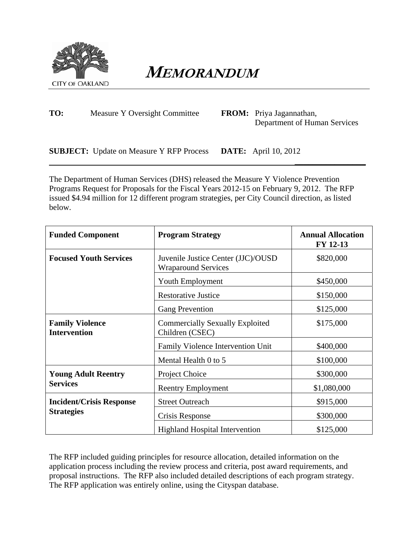

**MEMORANDUM** 

| TO: | Measure Y Oversight Committee | <b>FROM:</b> Priya Jagannathan, |
|-----|-------------------------------|---------------------------------|
|     |                               | Department of Human Services    |

**SUBJECT:** Update on Measure Y RFP Process **DATE:** April 10, 2012

The Department of Human Services (DHS) released the Measure Y Violence Prevention Programs Request for Proposals for the Fiscal Years 2012-15 on February 9, 2012. The RFP issued \$4.94 million for 12 different program strategies, per City Council direction, as listed below.

 **\_\_\_\_\_\_\_\_\_\_\_\_\_\_\_\_**

| <b>Funded Component</b>                       | <b>Program Strategy</b>                                          | <b>Annual Allocation</b><br>FY 12-13 |
|-----------------------------------------------|------------------------------------------------------------------|--------------------------------------|
| <b>Focused Youth Services</b>                 | Juvenile Justice Center (JJC)/OUSD<br><b>Wraparound Services</b> | \$820,000                            |
|                                               | Youth Employment                                                 | \$450,000                            |
|                                               | <b>Restorative Justice</b>                                       | \$150,000                            |
|                                               | <b>Gang Prevention</b>                                           | \$125,000                            |
| <b>Family Violence</b><br><b>Intervention</b> | <b>Commercially Sexually Exploited</b><br>Children (CSEC)        |                                      |
|                                               | Family Violence Intervention Unit                                | \$400,000                            |
|                                               | Mental Health 0 to 5                                             | \$100,000                            |
| <b>Young Adult Reentry</b>                    | Project Choice                                                   | \$300,000                            |
| <b>Services</b>                               | <b>Reentry Employment</b>                                        | \$1,080,000                          |
| <b>Incident/Crisis Response</b>               | <b>Street Outreach</b>                                           | \$915,000                            |
| <b>Strategies</b>                             | Crisis Response                                                  | \$300,000                            |
|                                               | <b>Highland Hospital Intervention</b>                            | \$125,000                            |

The RFP included guiding principles for resource allocation, detailed information on the application process including the review process and criteria, post award requirements, and proposal instructions. The RFP also included detailed descriptions of each program strategy. The RFP application was entirely online, using the Cityspan database.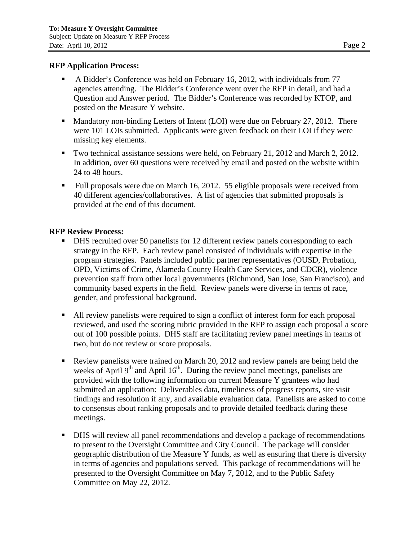## **RFP Application Process:**

- A Bidder's Conference was held on February 16, 2012, with individuals from 77 agencies attending. The Bidder's Conference went over the RFP in detail, and had a Question and Answer period. The Bidder's Conference was recorded by KTOP, and posted on the Measure Y website.
- Mandatory non-binding Letters of Intent (LOI) were due on February 27, 2012. There were 101 LOIs submitted. Applicants were given feedback on their LOI if they were missing key elements.
- Two technical assistance sessions were held, on February 21, 2012 and March 2, 2012. In addition, over 60 questions were received by email and posted on the website within 24 to 48 hours.
- Full proposals were due on March 16, 2012. 55 eligible proposals were received from 40 different agencies/collaboratives. A list of agencies that submitted proposals is provided at the end of this document.

## **RFP Review Process:**

- DHS recruited over 50 panelists for 12 different review panels corresponding to each strategy in the RFP. Each review panel consisted of individuals with expertise in the program strategies. Panels included public partner representatives (OUSD, Probation, OPD, Victims of Crime, Alameda County Health Care Services, and CDCR), violence prevention staff from other local governments (Richmond, San Jose, San Francisco), and community based experts in the field. Review panels were diverse in terms of race, gender, and professional background.
- All review panelists were required to sign a conflict of interest form for each proposal reviewed, and used the scoring rubric provided in the RFP to assign each proposal a score out of 100 possible points. DHS staff are facilitating review panel meetings in teams of two, but do not review or score proposals.
- Review panelists were trained on March 20, 2012 and review panels are being held the weeks of April  $9<sup>th</sup>$  and April  $16<sup>th</sup>$ . During the review panel meetings, panelists are provided with the following information on current Measure Y grantees who had submitted an application: Deliverables data, timeliness of progress reports, site visit findings and resolution if any, and available evaluation data. Panelists are asked to come to consensus about ranking proposals and to provide detailed feedback during these meetings.
- DHS will review all panel recommendations and develop a package of recommendations to present to the Oversight Committee and City Council. The package will consider geographic distribution of the Measure Y funds, as well as ensuring that there is diversity in terms of agencies and populations served. This package of recommendations will be presented to the Oversight Committee on May 7, 2012, and to the Public Safety Committee on May 22, 2012.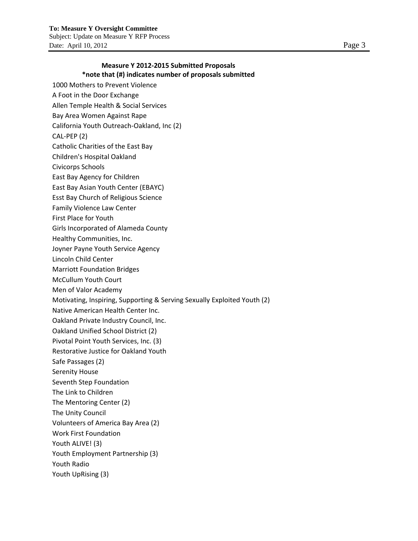1000 Mothers to Prevent Violence A Foot in the Door Exchange Allen Temple Health & Social Services Bay Area Women Against Rape California Youth Outreach‐Oakland, Inc (2) CAL‐PEP (2)

Catholic Charities of the East Bay

Children's Hospital Oakland

Civicorps Schools

East Bay Agency for Children

East Bay Asian Youth Center (EBAYC)

Esst Bay Church of Religious Science

- Family Violence Law Center
- First Place for Youth

Girls Incorporated of Alameda County

Healthy Communities, Inc.

Joyner Payne Youth Service Agency

Lincoln Child Center

Marriott Foundation Bridges

McCullum Youth Court

Men of Valor Academy

Motivating, Inspiring, Supporting & Serving Sexually Exploited Youth (2)

Native American Health Center Inc.

Oakland Private Industry Council, Inc.

Oakland Unified School District (2)

Pivotal Point Youth Services, Inc. (3)

Restorative Justice for Oakland Youth

Safe Passages (2)

Serenity House

Seventh Step Foundation

The Link to Children

The Mentoring Center (2)

The Unity Council

Volunteers of America Bay Area (2)

Work First Foundation

Youth ALIVE! (3)

Youth Employment Partnership (3)

Youth Radio

Youth UpRising (3)